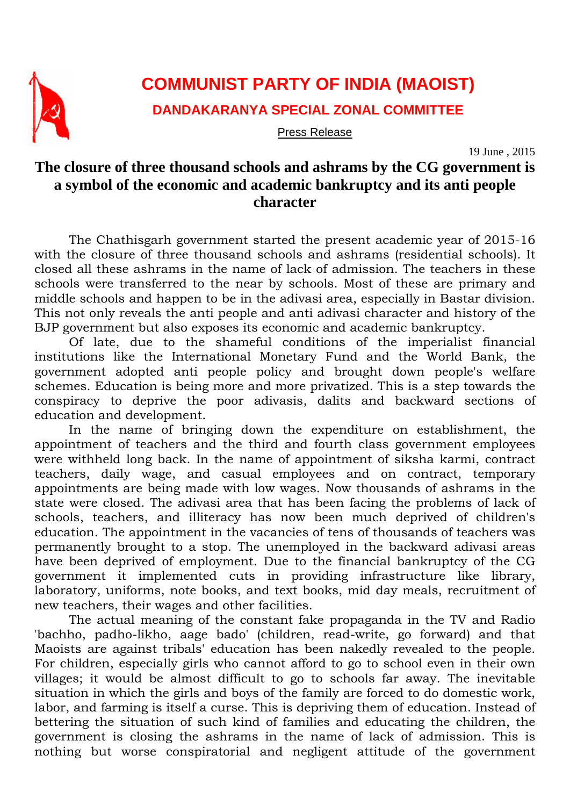

## **COMMUNIST PARTY OF INDIA (MAOIST)**

**DANDAKARANYA SPECIAL ZONAL COMMITTEE** 

Press Release

19 June , 2015

## **The closure of three thousand schools and ashrams by the CG government is a symbol of the economic and academic bankruptcy and its anti people character**

The Chathisgarh government started the present academic year of 2015-16 with the closure of three thousand schools and ashrams (residential schools). It closed all these ashrams in the name of lack of admission. The teachers in these schools were transferred to the near by schools. Most of these are primary and middle schools and happen to be in the adivasi area, especially in Bastar division. This not only reveals the anti people and anti adivasi character and history of the BJP government but also exposes its economic and academic bankruptcy.

Of late, due to the shameful conditions of the imperialist financial institutions like the International Monetary Fund and the World Bank, the government adopted anti people policy and brought down people's welfare schemes. Education is being more and more privatized. This is a step towards the conspiracy to deprive the poor adivasis, dalits and backward sections of education and development.

In the name of bringing down the expenditure on establishment, the appointment of teachers and the third and fourth class government employees were withheld long back. In the name of appointment of siksha karmi, contract teachers, daily wage, and casual employees and on contract, temporary appointments are being made with low wages. Now thousands of ashrams in the state were closed. The adivasi area that has been facing the problems of lack of schools, teachers, and illiteracy has now been much deprived of children's education. The appointment in the vacancies of tens of thousands of teachers was permanently brought to a stop. The unemployed in the backward adivasi areas have been deprived of employment. Due to the financial bankruptcy of the CG government it implemented cuts in providing infrastructure like library, laboratory, uniforms, note books, and text books, mid day meals, recruitment of new teachers, their wages and other facilities.

The actual meaning of the constant fake propaganda in the TV and Radio 'bachho, padho-likho, aage bado' (children, read-write, go forward) and that Maoists are against tribals' education has been nakedly revealed to the people. For children, especially girls who cannot afford to go to school even in their own villages; it would be almost difficult to go to schools far away. The inevitable situation in which the girls and boys of the family are forced to do domestic work, labor, and farming is itself a curse. This is depriving them of education. Instead of bettering the situation of such kind of families and educating the children, the government is closing the ashrams in the name of lack of admission. This is nothing but worse conspiratorial and negligent attitude of the government